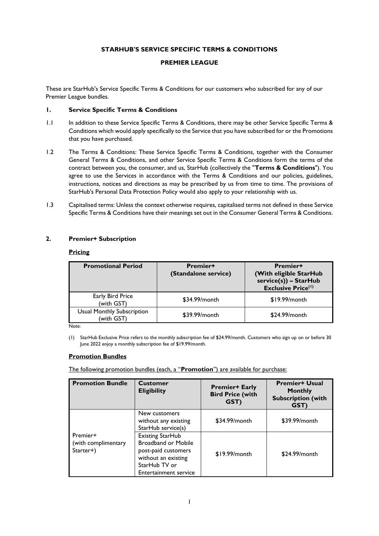# **STARHUB'S SERVICE SPECIFIC TERMS & CONDITIONS**

## **PREMIER LEAGUE**

These are StarHub's Service Specific Terms & Conditions for our customers who subscribed for any of our Premier League bundles.

## **1. Service Specific Terms & Conditions**

- 1.1 In addition to these Service Specific Terms & Conditions, there may be other Service Specific Terms & Conditions which would apply specifically to the Service that you have subscribed for or the Promotions that you have purchased.
- 1.2 The Terms & Conditions: These Service Specific Terms & Conditions, together with the Consumer General Terms & Conditions, and other Service Specific Terms & Conditions form the terms of the contract between you, the consumer, and us, StarHub (collectively the "**Terms & Conditions**"). You agree to use the Services in accordance with the Terms & Conditions and our policies, guidelines, instructions, notices and directions as may be prescribed by us from time to time. The provisions of StarHub's Personal Data Protection Policy would also apply to your relationship with us.
- 1.3 Capitalised terms: Unless the context otherwise requires, capitalised terms not defined in these Service Specific Terms & Conditions have their meanings set out in the Consumer General Terms & Conditions.

## **2. Premier+ Subscription**

#### **Pricing**

| <b>Promotional Period</b>                       | <b>Premier+</b><br>(Standalone service) | <b>Premier+</b><br>(With eligible StarHub<br>$service(s)) - StarHub$<br><b>Exclusive Price(1)</b> |
|-------------------------------------------------|-----------------------------------------|---------------------------------------------------------------------------------------------------|
| Early Bird Price<br>(with GST)                  | \$34.99/month                           | $$19.99/m$ onth                                                                                   |
| <b>Usual Monthly Subscription</b><br>(with GST) | \$39.99/month                           | \$24.99/month                                                                                     |

Note:

(1) StarHub Exclusive Price refers to the monthly subscription fee of \$24.99/month. Customers who sign up on or before 30 June 2022 enjoy a monthly subscription fee of \$19.99/month.

#### **Promotion Bundles**

The following promotion bundles (each, a "**Promotion**") are available for purchase:

| <b>Promotion Bundle</b>                      | <b>Customer</b><br><b>Eligibility</b>                                                                                                  | <b>Premier+ Early</b><br><b>Bird Price (with</b><br>GST) | <b>Premier+ Usual</b><br><b>Monthly</b><br><b>Subscription (with</b><br>GST) |
|----------------------------------------------|----------------------------------------------------------------------------------------------------------------------------------------|----------------------------------------------------------|------------------------------------------------------------------------------|
| Premier+<br>(with complimentary<br>Starter+) | New customers<br>without any existing<br>StarHub service(s)                                                                            | \$34.99/month                                            | \$39.99/month                                                                |
|                                              | Existing StarHub<br><b>Broadband or Mobile</b><br>post-paid customers<br>without an existing<br>StarHub TV or<br>Entertainment service | $$19.99/m$ onth                                          | \$24.99/month                                                                |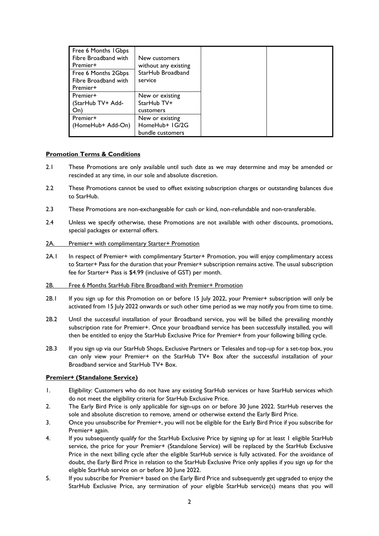| Free 6 Months 1 Gbps<br>Fibre Broadband with<br>Premier+<br>Free 6 Months 2Gbps<br>Fibre Broadband with<br>Premier+ | New customers<br>without any existing<br>StarHub Broadband<br>service |
|---------------------------------------------------------------------------------------------------------------------|-----------------------------------------------------------------------|
| Premier+                                                                                                            | New or existing                                                       |
| (StarHub TV+ Add-<br>On)                                                                                            | StarHub TV+<br>customers                                              |
| Premier+                                                                                                            | New or existing                                                       |
| (HomeHub+ Add-On)                                                                                                   | HomeHub+ IG/2G<br>bundle customers                                    |

## **Promotion Terms & Conditions**

- 2.1 These Promotions are only available until such date as we may determine and may be amended or rescinded at any time, in our sole and absolute discretion.
- 2.2 These Promotions cannot be used to offset existing subscription charges or outstanding balances due to StarHub.
- 2.3 These Promotions are non-exchangeable for cash or kind, non-refundable and non-transferable.
- 2.4 Unless we specify otherwise, these Promotions are not available with other discounts, promotions, special packages or external offers.
- 2A. Premier+ with complimentary Starter+ Promotion
- 2A.1 In respect of Premier+ with complimentary Starter+ Promotion, you will enjoy complimentary access to Starter+ Pass for the duration that your Premier+ subscription remains active. The usual subscription fee for Starter+ Pass is \$4.99 (inclusive of GST) per month.
- 2B. Free 6 Months StarHub Fibre Broadband with Premier+ Promotion
- 2B.1 If you sign up for this Promotion on or before 15 July 2022, your Premier+ subscription will only be activated from 15 July 2022 onwards or such other time period as we may notify you from time to time.
- 2B.2 Until the successful installation of your Broadband service, you will be billed the prevailing monthly subscription rate for Premier+. Once your broadband service has been successfully installed, you will then be entitled to enjoy the StarHub Exclusive Price for Premier+ from your following billing cycle.
- 2B.3 If you sign up via our StarHub Shops, Exclusive Partners or Telesales and top-up for a set-top box, you can only view your Premier+ on the StarHub TV+ Box after the successful installation of your Broadband service and StarHub TV+ Box.

## **Premier+ (Standalone Service)**

- 1. Eligibility: Customers who do not have any existing StarHub services or have StarHub services which do not meet the eligibility criteria for StarHub Exclusive Price.
- 2. The Early Bird Price is only applicable for sign-ups on or before 30 June 2022. StarHub reserves the sole and absolute discretion to remove, amend or otherwise extend the Early Bird Price.
- 3. Once you unsubscribe for Premier+, you will not be eligible for the Early Bird Price if you subscribe for Premier+ again.
- 4. If you subsequently qualify for the StarHub Exclusive Price by signing up for at least 1 eligible StarHub service, the price for your Premier+ (Standalone Service) will be replaced by the StarHub Exclusive Price in the next billing cycle after the eligible StarHub service is fully activated. For the avoidance of doubt, the Early Bird Price in relation to the StarHub Exclusive Price only applies if you sign up for the eligible StarHub service on or before 30 June 2022.
- 5. If you subscribe for Premier+ based on the Early Bird Price and subsequently get upgraded to enjoy the StarHub Exclusive Price, any termination of your eligible StarHub service(s) means that you will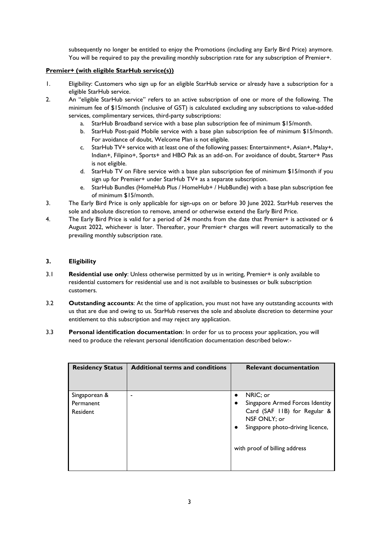subsequently no longer be entitled to enjoy the Promotions (including any Early Bird Price) anymore. You will be required to pay the prevailing monthly subscription rate for any subscription of Premier+.

# **Premier+ (with eligible StarHub service(s))**

- 1. Eligibility: Customers who sign up for an eligible StarHub service or already have a subscription for a eligible StarHub service.
- 2. An "eligible StarHub service" refers to an active subscription of one or more of the following. The minimum fee of \$15/month (inclusive of GST) is calculated excluding any subscriptions to value-added services, complimentary services, third-party subscriptions:
	- a. StarHub Broadband service with a base plan subscription fee of minimum \$15/month.
	- b. StarHub Post-paid Mobile service with a base plan subscription fee of minimum \$15/month. For avoidance of doubt, Welcome Plan is not eligible.
	- c. StarHub TV+ service with at least one of the following passes: Entertainment+, Asian+, Malay+, Indian+, Filipino+, Sports+ and HBO Pak as an add-on. For avoidance of doubt, Starter+ Pass is not eligible.
	- d. StarHub TV on Fibre service with a base plan subscription fee of minimum \$15/month if you sign up for Premier+ under StarHub TV+ as a separate subscription.
	- e. StarHub Bundles (HomeHub Plus / HomeHub+ / HubBundle) with a base plan subscription fee of minimum \$15/month.
- 3. The Early Bird Price is only applicable for sign-ups on or before 30 June 2022. StarHub reserves the sole and absolute discretion to remove, amend or otherwise extend the Early Bird Price.
- 4. The Early Bird Price is valid for a period of 24 months from the date that Premier+ is activated or 6 August 2022, whichever is later. Thereafter, your Premier+ charges will revert automatically to the prevailing monthly subscription rate.

# **3. Eligibility**

- 3.1 **Residential use only**: Unless otherwise permitted by us in writing, Premier+ is only available to residential customers for residential use and is not available to businesses or bulk subscription customers.
- 3.2 **Outstanding accounts**: At the time of application, you must not have any outstanding accounts with us that are due and owing to us. StarHub reserves the sole and absolute discretion to determine your entitlement to this subscription and may reject any application.
- 3.3 **Personal identification documentation**: In order for us to process your application, you will need to produce the relevant personal identification documentation described below:-

| <b>Residency Status</b> | <b>Additional terms and conditions</b> |           | <b>Relevant documentation</b>    |
|-------------------------|----------------------------------------|-----------|----------------------------------|
| Singaporean &           | ٠                                      | $\bullet$ | NRIC; or                         |
| Permanent               |                                        |           | Singapore Armed Forces Identity  |
| Resident                |                                        |           | Card (SAF 11B) for Regular &     |
|                         |                                        |           | NSF ONLY; or                     |
|                         |                                        | $\bullet$ | Singapore photo-driving licence, |
|                         |                                        |           | with proof of billing address    |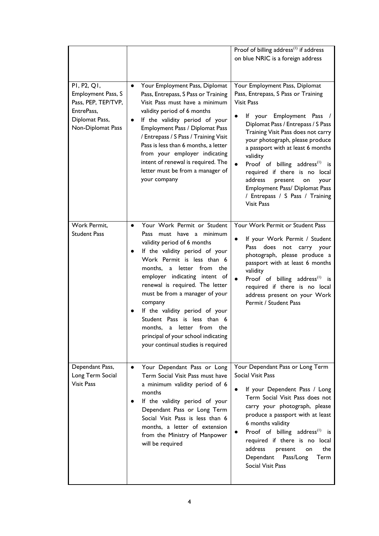|                                                                                                               |                                                                                                                                                                                                                                                                                                                                                                                                                                                                                                             | Proof of billing address <sup>(1)</sup> if address<br>on blue NRIC is a foreign address                                                                                                                                                                                                                                                                                                                                                                                                                 |
|---------------------------------------------------------------------------------------------------------------|-------------------------------------------------------------------------------------------------------------------------------------------------------------------------------------------------------------------------------------------------------------------------------------------------------------------------------------------------------------------------------------------------------------------------------------------------------------------------------------------------------------|---------------------------------------------------------------------------------------------------------------------------------------------------------------------------------------------------------------------------------------------------------------------------------------------------------------------------------------------------------------------------------------------------------------------------------------------------------------------------------------------------------|
| PI, P2, QI,<br>Employment Pass, S<br>Pass, PEP, TEP/TVP,<br>EntrePass,<br>Diplomat Pass,<br>Non-Diplomat Pass | Your Employment Pass, Diplomat<br>$\bullet$<br>Pass, Entrepass, S Pass or Training<br>Visit Pass must have a minimum<br>validity period of 6 months<br>If the validity period of your<br>$\bullet$<br>Employment Pass / Diplomat Pass<br>/ Entrepass / S Pass / Training Visit<br>Pass is less than 6 months, a letter<br>from your employer indicating<br>intent of renewal is required. The<br>letter must be from a manager of<br>your company                                                           | Your Employment Pass, Diplomat<br>Pass, Entrepass, S Pass or Training<br><b>Visit Pass</b><br>Employment Pass /<br>lf your<br>Diplomat Pass / Entrepass / S Pass<br>Training Visit Pass does not carry<br>your photograph, please produce<br>a passport with at least 6 months<br>validity<br>Proof of billing address <sup>(1)</sup> is<br>required if there is no local<br>address<br>present<br>your<br>on<br>Employment Pass/ Diplomat Pass<br>/ Entrepass / S Pass / Training<br><b>Visit Pass</b> |
| Work Permit,<br><b>Student Pass</b>                                                                           | Your Work Permit or Student<br>$\bullet$<br>Pass must have a minimum<br>validity period of 6 months<br>If the validity period of your<br>Work Permit is less than 6<br>months,<br>letter from the<br>a<br>employer indicating intent of<br>renewal is required. The letter<br>must be from a manager of your<br>company<br>If the validity period of your<br>Student Pass is less than 6<br>from the<br>months,<br>letter<br>a<br>principal of your school indicating<br>your continual studies is required | Your Work Permit or Student Pass<br>If your Work Permit / Student<br>Pass<br>does<br>not<br>carry your<br>photograph, please produce a<br>passport with at least 6 months<br>validity<br>Proof of billing address <sup>(1)</sup> is<br>required if there is no local<br>address present on your Work<br>Permit / Student Pass                                                                                                                                                                           |
| Dependant Pass,<br>Long Term Social<br><b>Visit Pass</b>                                                      | Your Dependant Pass or Long<br>$\bullet$<br>Term Social Visit Pass must have<br>a minimum validity period of 6<br>months<br>If the validity period of your<br>Dependant Pass or Long Term<br>Social Visit Pass is less than 6<br>months, a letter of extension<br>from the Ministry of Manpower<br>will be required                                                                                                                                                                                         | Your Dependant Pass or Long Term<br>Social Visit Pass<br>If your Dependent Pass / Long<br>Term Social Visit Pass does not<br>carry your photograph, please<br>produce a passport with at least<br>6 months validity<br>Proof of billing address <sup>(1)</sup> is<br>required if there is no local<br>address<br>the<br>present<br>on<br>Dependant<br>Pass/Long<br>Term<br>Social Visit Pass                                                                                                            |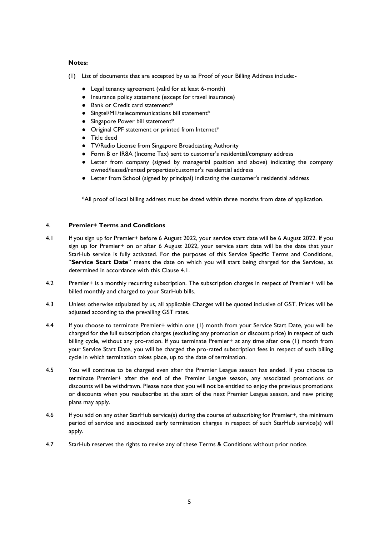### **Notes:**

- (1) List of documents that are accepted by us as Proof of your Billing Address include:-
	- Legal tenancy agreement (valid for at least 6-month)
	- Insurance policy statement (except for travel insurance)
	- Bank or Credit card statement<sup>\*</sup>
	- Singtel/M1/telecommunications bill statement\*
	- Singapore Power bill statement\*
	- Original CPF statement or printed from Internet\*
	- Title deed
	- TV/Radio License from Singapore Broadcasting Authority
	- Form B or IR8A (Income Tax) sent to customer's residential/company address
	- Letter from company (signed by managerial position and above) indicating the company owned/leased/rented properties/customer's residential address
	- Letter from School (signed by principal) indicating the customer's residential address

\*All proof of local billing address must be dated within three months from date of application.

## 4. **Premier+ Terms and Conditions**

- 4.1 If you sign up for Premier+ before 6 August 2022, your service start date will be 6 August 2022. If you sign up for Premier+ on or after 6 August 2022, your service start date will be the date that your StarHub service is fully activated. For the purposes of this Service Specific Terms and Conditions, "**Service Start Date**" means the date on which you will start being charged for the Services, as determined in accordance with this Clause 4.1.
- 4.2 Premier+ is a monthly recurring subscription. The subscription charges in respect of Premier+ will be billed monthly and charged to your StarHub bills.
- 4.3 Unless otherwise stipulated by us, all applicable Charges will be quoted inclusive of GST. Prices will be adjusted according to the prevailing GST rates.
- 4.4 If you choose to terminate Premier+ within one (1) month from your Service Start Date, you will be charged for the full subscription charges (excluding any promotion or discount price) in respect of such billing cycle, without any pro-ration. If you terminate Premier+ at any time after one (1) month from your Service Start Date, you will be charged the pro-rated subscription fees in respect of such billing cycle in which termination takes place, up to the date of termination.
- 4.5 You will continue to be charged even after the Premier League season has ended. If you choose to terminate Premier+ after the end of the Premier League season, any associated promotions or discounts will be withdrawn. Please note that you will not be entitled to enjoy the previous promotions or discounts when you resubscribe at the start of the next Premier League season, and new pricing plans may apply.
- 4.6 If you add on any other StarHub service(s) during the course of subscribing for Premier+, the minimum period of service and associated early termination charges in respect of such StarHub service(s) will apply.
- 4.7 StarHub reserves the rights to revise any of these Terms & Conditions without prior notice.